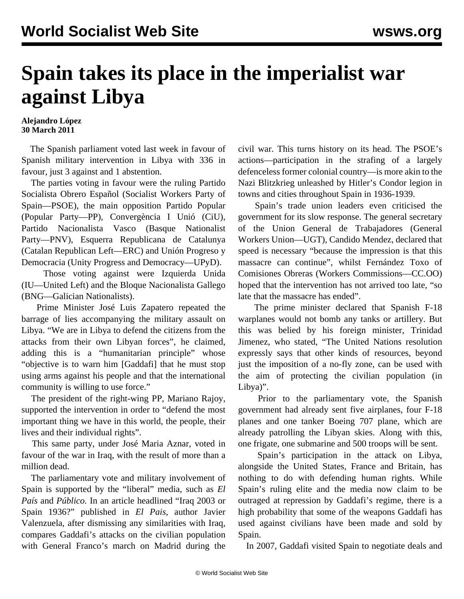## **Spain takes its place in the imperialist war against Libya**

## **Alejandro López 30 March 2011**

 The Spanish parliament voted last week in favour of Spanish military intervention in Libya with 336 in favour, just 3 against and 1 abstention.

 The parties voting in favour were the ruling Partido Socialista Obrero Español (Socialist Workers Party of Spain—PSOE), the main opposition Partido Popular (Popular Party—PP), Convergència I Unió (CiU), Partido Nacionalista Vasco (Basque Nationalist Party—PNV), Esquerra Republicana de Catalunya (Catalan Republican Left—ERC) and Unión Progreso y Democracia (Unity Progress and Democracy—UPyD).

 Those voting against were Izquierda Unida (IU—United Left) and the Bloque Nacionalista Gallego (BNG—Galician Nationalists).

 Prime Minister José Luis Zapatero repeated the barrage of lies accompanying the military assault on Libya. "We are in Libya to defend the citizens from the attacks from their own Libyan forces", he claimed, adding this is a "humanitarian principle" whose "objective is to warn him [Gaddafi] that he must stop using arms against his people and that the international community is willing to use force."

 The president of the right-wing PP, Mariano Rajoy, supported the intervention in order to "defend the most important thing we have in this world, the people, their lives and their individual rights".

 This same party, under José Maria Aznar, voted in favour of the war in Iraq, with the result of more than a million dead.

 The parliamentary vote and military involvement of Spain is supported by the "liberal" media, such as *El País* and *Público.* In an article headlined "Iraq 2003 or Spain 1936?" published in *El Pais*, author Javier Valenzuela, after dismissing any similarities with Iraq, compares Gaddafi's attacks on the civilian population with General Franco's march on Madrid during the

civil war. This turns history on its head. The PSOE's actions—participation in the strafing of a largely defenceless former colonial country—is more akin to the Nazi Blitzkrieg unleashed by Hitler's Condor legion in towns and cities throughout Spain in 1936-1939.

 Spain's trade union leaders even criticised the government for its slow response. The general secretary of the Union General de Trabajadores (General Workers Union—UGT), Candido Mendez, declared that speed is necessary "because the impression is that this massacre can continue", whilst Fernández Toxo of Comisiones Obreras (Workers Commissions—CC.OO) hoped that the intervention has not arrived too late, "so late that the massacre has ended".

 The prime minister declared that Spanish F-18 warplanes would not bomb any tanks or artillery. But this was belied by his foreign minister, Trinidad Jimenez, who stated, "The United Nations resolution expressly says that other kinds of resources, beyond just the imposition of a no-fly zone, can be used with the aim of protecting the civilian population (in Libya)".

 Prior to the parliamentary vote, the Spanish government had already sent five airplanes, four F-18 planes and one tanker Boeing 707 plane, which are already patrolling the Libyan skies. Along with this, one frigate, one submarine and 500 troops will be sent.

 Spain's participation in the attack on Libya, alongside the United States, France and Britain, has nothing to do with defending human rights. While Spain's ruling elite and the media now claim to be outraged at repression by Gaddafi's regime, there is a high probability that some of the weapons Gaddafi has used against civilians have been made and sold by Spain.

In 2007, Gaddafi visited Spain to negotiate deals and